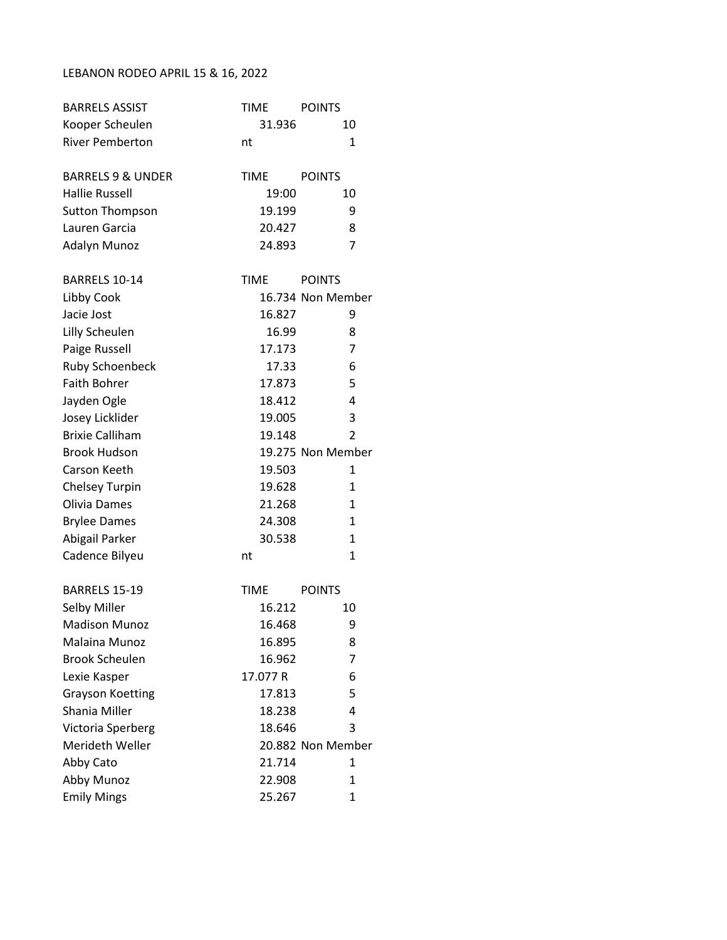## LEBANON RODEO APRIL 15 & 16, 2022

| <b>BARRELS ASSIST</b>        | <b>TIME</b> | <b>POINTS</b>     |
|------------------------------|-------------|-------------------|
| Kooper Scheulen              | 31.936      | 10                |
| <b>River Pemberton</b>       | nt          | 1                 |
| <b>BARRELS 9 &amp; UNDER</b> | <b>TIME</b> | <b>POINTS</b>     |
| <b>Hallie Russell</b>        | 19:00       | 10                |
| <b>Sutton Thompson</b>       | 19.199      | 9                 |
| Lauren Garcia                | 20.427      | 8                 |
| Adalyn Munoz                 | 24.893      | 7                 |
| BARRELS 10-14                | <b>TIME</b> | <b>POINTS</b>     |
| Libby Cook                   |             | 16.734 Non Member |
| Jacie Jost                   | 16.827      | 9                 |
| Lilly Scheulen               | 16.99       | 8                 |
| Paige Russell                | 17.173      | 7                 |
| Ruby Schoenbeck              | 17.33       | 6                 |
| <b>Faith Bohrer</b>          | 17.873      | 5                 |
| Jayden Ogle                  | 18.412      | 4                 |
| Josey Licklider              | 19.005      | 3                 |
| <b>Brixie Calliham</b>       | 19.148      | $\overline{2}$    |
| <b>Brook Hudson</b>          |             | 19.275 Non Member |
| Carson Keeth                 | 19.503      | 1                 |
| <b>Chelsey Turpin</b>        | 19.628      | $\mathbf{1}$      |
| Olivia Dames                 | 21.268      | 1                 |
| <b>Brylee Dames</b>          | 24.308      | $\mathbf{1}$      |
| Abigail Parker               | 30.538      | $\mathbf{1}$      |
| Cadence Bilyeu               | nt          | 1                 |
| BARRELS 15-19                | <b>TIME</b> | <b>POINTS</b>     |
| Selby Miller                 | 16.212      | 10                |
| <b>Madison Munoz</b>         | 16.468      | 9                 |
| Malaina Munoz                | 16.895      | 8                 |
| <b>Brook Scheulen</b>        | 16.962      | 7                 |
| Lexie Kasper                 | 17.077 R    | 6                 |
| <b>Grayson Koetting</b>      | 17.813      | 5                 |
| Shania Miller                | 18.238      | 4                 |
| Victoria Sperberg            | 18.646      | 3                 |
| Merideth Weller              |             | 20.882 Non Member |
| Abby Cato                    | 21.714      | 1                 |
| Abby Munoz                   | 22.908      | 1                 |
| <b>Emily Mings</b>           | 25.267      | 1                 |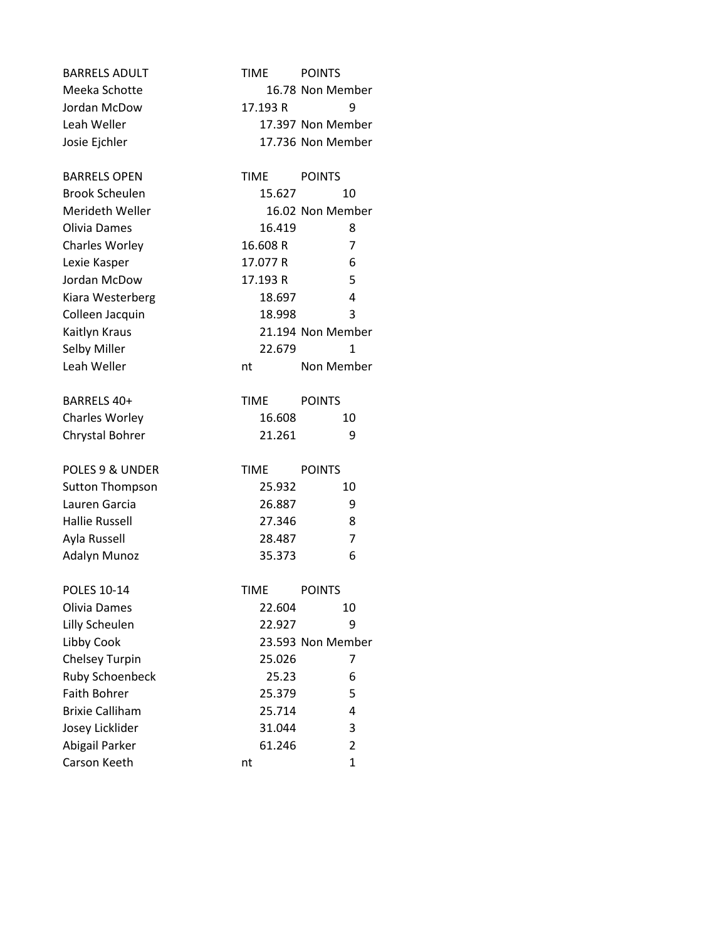| <b>BARRELS ADULT</b>   | <b>TIME</b> | <b>POINTS</b>     |
|------------------------|-------------|-------------------|
| Meeka Schotte          |             | 16.78 Non Member  |
| Jordan McDow           | 17.193 R    | 9                 |
| Leah Weller            |             | 17.397 Non Member |
| Josie Ejchler          |             | 17.736 Non Member |
| <b>BARRELS OPEN</b>    | <b>TIME</b> | <b>POINTS</b>     |
| <b>Brook Scheulen</b>  | 15.627      | 10                |
| Merideth Weller        |             | 16.02 Non Member  |
| Olivia Dames           | 16.419      | 8                 |
| Charles Worley         | 16.608 R    | 7                 |
| Lexie Kasper           | 17.077 R    | 6                 |
| Jordan McDow           | 17.193 R    | 5                 |
| Kiara Westerberg       | 18.697      | 4                 |
| Colleen Jacquin        | 18.998      | 3                 |
| Kaitlyn Kraus          |             | 21.194 Non Member |
| Selby Miller           | 22.679      | 1                 |
| Leah Weller            | nt          | Non Member        |
| BARRELS 40+            | <b>TIME</b> | <b>POINTS</b>     |
| <b>Charles Worley</b>  | 16.608      | 10                |
| Chrystal Bohrer        | 21.261      | 9                 |
| POLES 9 & UNDER        | TIME        | <b>POINTS</b>     |
| <b>Sutton Thompson</b> | 25.932      | 10                |
| Lauren Garcia          | 26.887      | 9                 |
| <b>Hallie Russell</b>  | 27.346      | 8                 |
| Ayla Russell           | 28.487      | 7                 |
| <b>Adalyn Munoz</b>    | 35.373      | 6                 |
| <b>POLES 10-14</b>     | <b>TIME</b> | <b>POINTS</b>     |
| Olivia Dames           | 22.604      | 10                |
| Lilly Scheulen         | 22.927      | 9                 |
| Libby Cook             |             | 23.593 Non Member |
| <b>Chelsey Turpin</b>  | 25.026      | 7                 |
| <b>Ruby Schoenbeck</b> | 25.23       | 6                 |
| <b>Faith Bohrer</b>    | 25.379      | 5                 |
| <b>Brixie Calliham</b> | 25.714      | 4                 |
| Josey Licklider        | 31.044      | 3                 |
| Abigail Parker         | 61.246      | $\overline{2}$    |
| Carson Keeth           | nt          | 1                 |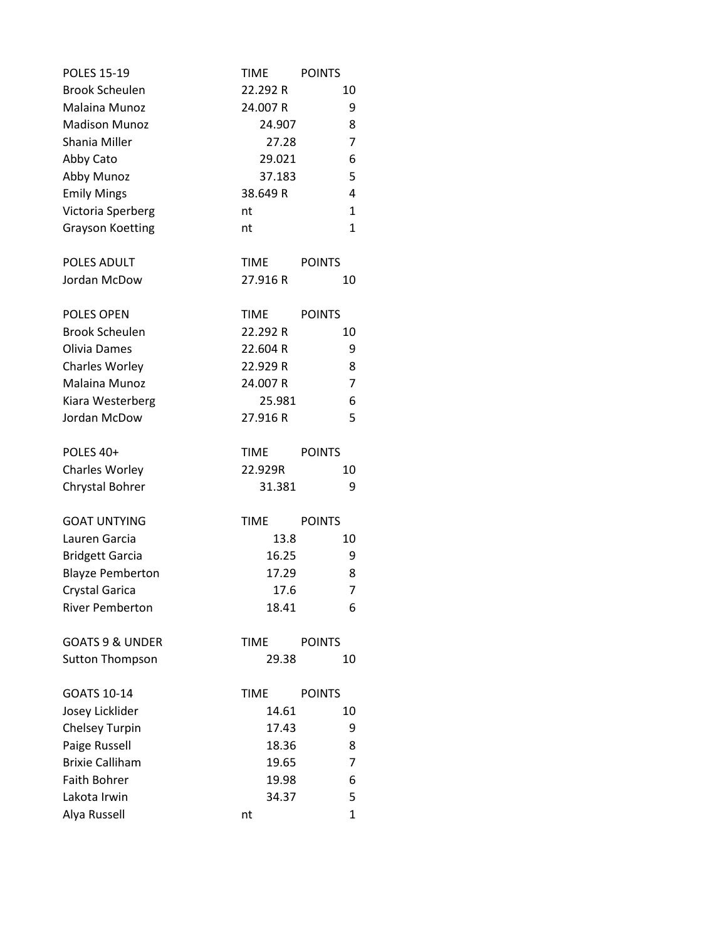| <b>POLES 15-19</b>         | <b>TIME</b> | <b>POINTS</b>  |
|----------------------------|-------------|----------------|
| <b>Brook Scheulen</b>      | 22.292 R    | 10             |
| Malaina Munoz              | 24.007 R    | 9              |
| <b>Madison Munoz</b>       | 24.907      | 8              |
| Shania Miller              | 27.28       | 7              |
| Abby Cato                  | 29.021      | 6              |
| Abby Munoz                 | 37.183      | 5              |
| <b>Emily Mings</b>         | 38.649 R    | 4              |
| Victoria Sperberg          | nt          | $\mathbf{1}$   |
| <b>Grayson Koetting</b>    | nt          | $\mathbf 1$    |
| POLES ADULT                | <b>TIME</b> | <b>POINTS</b>  |
| Jordan McDow               | 27.916 R    | 10             |
| <b>POLES OPEN</b>          | TIME        | <b>POINTS</b>  |
| <b>Brook Scheulen</b>      | 22.292 R    | 10             |
| Olivia Dames               | 22.604 R    | 9              |
| <b>Charles Worley</b>      | 22.929 R    | 8              |
| Malaina Munoz              | 24.007 R    | 7              |
| Kiara Westerberg           | 25.981      | 6              |
| Jordan McDow               | 27.916 R    | 5              |
| POLES 40+                  | <b>TIME</b> | <b>POINTS</b>  |
| <b>Charles Worley</b>      | 22.929R     | 10             |
| Chrystal Bohrer            | 31.381      | 9              |
| <b>GOAT UNTYING</b>        | <b>TIME</b> | <b>POINTS</b>  |
| Lauren Garcia              | 13.8        | 10             |
| <b>Bridgett Garcia</b>     | 16.25       | 9              |
| <b>Blayze Pemberton</b>    | 17.29       | 8              |
| Crystal Garica             | 17.6        | $\overline{7}$ |
| <b>River Pemberton</b>     | 18.41       | 6              |
| <b>GOATS 9 &amp; UNDER</b> |             |                |
| <b>Sutton Thompson</b>     | <b>TIME</b> | <b>POINTS</b>  |
|                            | 29.38       | 10             |
| GOATS 10-14                | TIME        | <b>POINTS</b>  |
| Josey Licklider            | 14.61       | 10             |
| <b>Chelsey Turpin</b>      | 17.43       | 9              |
| Paige Russell              | 18.36       | 8              |
| <b>Brixie Calliham</b>     | 19.65       | 7              |
| <b>Faith Bohrer</b>        | 19.98       | 6              |
| Lakota Irwin               | 34.37       | 5              |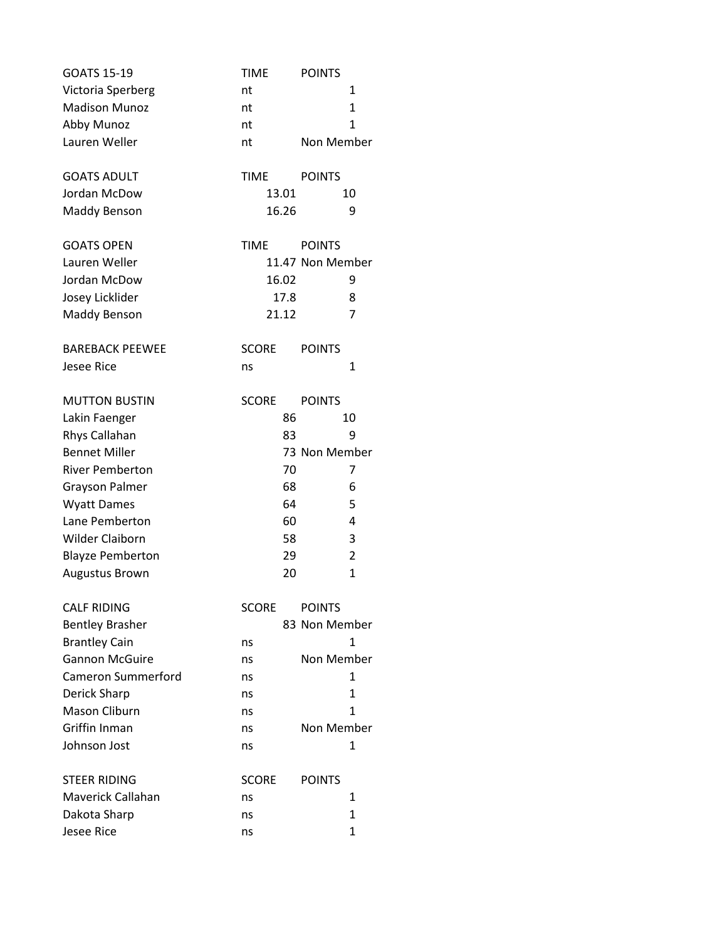| <b>GOATS 15-19</b>        | <b>TIME</b>  | <b>POINTS</b>     |
|---------------------------|--------------|-------------------|
| Victoria Sperberg         | nt           | 1                 |
| <b>Madison Munoz</b>      | nt           | $\mathbf{1}$      |
| Abby Munoz                | nt           | 1                 |
| Lauren Weller             | nt           | <b>Non Member</b> |
| <b>GOATS ADULT</b>        | <b>TIME</b>  | <b>POINTS</b>     |
| Jordan McDow              | 13.01        | 10                |
| <b>Maddy Benson</b>       | 16.26        | 9                 |
| <b>GOATS OPEN</b>         | <b>TIME</b>  | <b>POINTS</b>     |
| Lauren Weller             |              | 11.47 Non Member  |
| Jordan McDow              | 16.02        | 9                 |
| Josey Licklider           | 17.8         | 8                 |
| Maddy Benson              | 21.12        | 7                 |
| <b>BAREBACK PEEWEE</b>    | <b>SCORE</b> | <b>POINTS</b>     |
| <b>Jesee Rice</b>         | ns           | 1                 |
| <b>MUTTON BUSTIN</b>      | <b>SCORE</b> | <b>POINTS</b>     |
| Lakin Faenger             | 86           | 10                |
| Rhys Callahan             | 83           | 9                 |
| <b>Bennet Miller</b>      |              | 73 Non Member     |
| <b>River Pemberton</b>    | 70           | 7                 |
| <b>Grayson Palmer</b>     | 68           | 6                 |
| <b>Wyatt Dames</b>        | 64           | 5                 |
| Lane Pemberton            | 60           | 4                 |
| <b>Wilder Claiborn</b>    | 58           | 3                 |
| <b>Blayze Pemberton</b>   | 29           | 2                 |
| Augustus Brown            | 20           | $\mathbf 1$       |
| <b>CALF RIDING</b>        | <b>SCORE</b> | <b>POINTS</b>     |
| <b>Bentley Brasher</b>    |              | 83 Non Member     |
| <b>Brantley Cain</b>      | ns           | 1                 |
| <b>Gannon McGuire</b>     | ns           | Non Member        |
| <b>Cameron Summerford</b> | ns           | 1                 |
| Derick Sharp              | ns           | 1                 |
| <b>Mason Cliburn</b>      | ns           | 1                 |
| Griffin Inman             | ns           | Non Member        |
| Johnson Jost              | ns           | 1                 |
| <b>STEER RIDING</b>       | <b>SCORE</b> | <b>POINTS</b>     |
| Maverick Callahan         | ns           | 1                 |
| Dakota Sharp              | ns           | 1                 |
| <b>Jesee Rice</b>         | ns           | 1                 |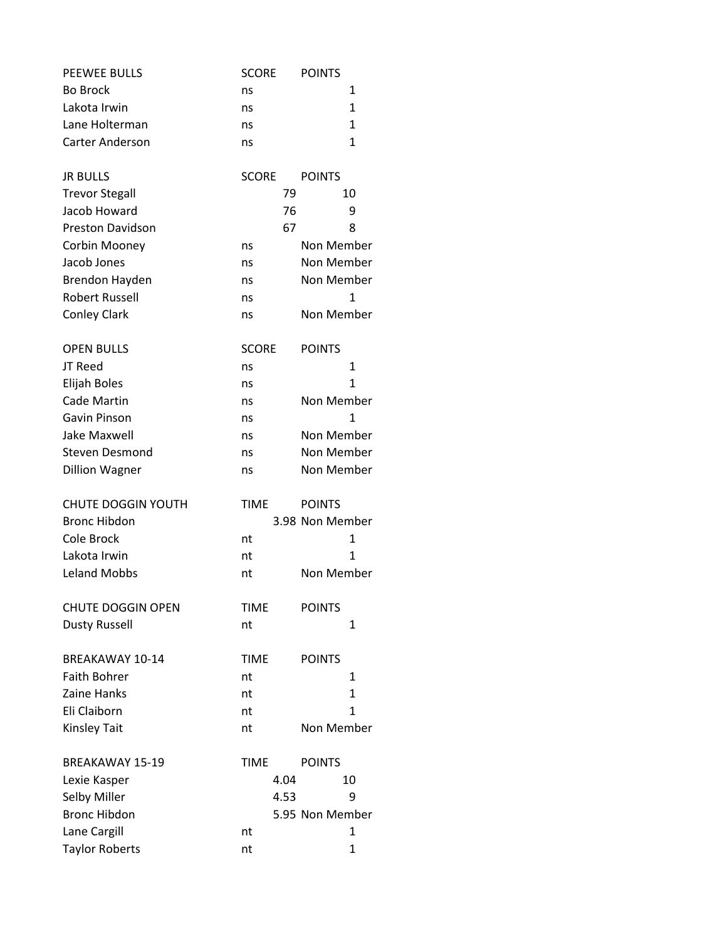| <b>PEEWEE BULLS</b>       | <b>SCORE</b> | <b>POINTS</b>   |
|---------------------------|--------------|-----------------|
| <b>Bo Brock</b>           | ns           | 1               |
| Lakota Irwin              | ns           | 1               |
| Lane Holterman            | ns           | 1               |
| <b>Carter Anderson</b>    | ns           | $\mathbf{1}$    |
| <b>JR BULLS</b>           | <b>SCORE</b> | <b>POINTS</b>   |
| <b>Trevor Stegall</b>     | 79           | 10              |
| Jacob Howard              | 76           | 9               |
| <b>Preston Davidson</b>   | 67           | 8               |
| Corbin Mooney             | ns           | Non Member      |
| Jacob Jones               | ns           | Non Member      |
| Brendon Hayden            | ns           | Non Member      |
| Robert Russell            | ns           | $\mathbf{1}$    |
| <b>Conley Clark</b>       | ns           | Non Member      |
| <b>OPEN BULLS</b>         | <b>SCORE</b> | <b>POINTS</b>   |
| JT Reed                   | ns           | 1               |
| Elijah Boles              | ns           | 1               |
| Cade Martin               | ns           | Non Member      |
| Gavin Pinson              | ns           | $\mathbf{1}$    |
| <b>Jake Maxwell</b>       | ns           | Non Member      |
| <b>Steven Desmond</b>     | ns           | Non Member      |
| <b>Dillion Wagner</b>     | ns           | Non Member      |
| <b>CHUTE DOGGIN YOUTH</b> | <b>TIME</b>  | <b>POINTS</b>   |
| <b>Bronc Hibdon</b>       |              | 3.98 Non Member |
| Cole Brock                | nt           | 1               |
| Lakota Irwin              | nt           | $\mathbf{1}$    |
| <b>Leland Mobbs</b>       | nt           | Non Member      |
| <b>CHUTE DOGGIN OPEN</b>  | <b>TIME</b>  | <b>POINTS</b>   |
| <b>Dusty Russell</b>      | nt           | 1               |
| BREAKAWAY 10-14           | <b>TIME</b>  | <b>POINTS</b>   |
| <b>Faith Bohrer</b>       | nt           | 1               |
| Zaine Hanks               | nt           | $\mathbf{1}$    |
| Eli Claiborn              | nt           | $\mathbf{1}$    |
| <b>Kinsley Tait</b>       | nt           | Non Member      |
| <b>BREAKAWAY 15-19</b>    | <b>TIME</b>  | <b>POINTS</b>   |
| Lexie Kasper              | 4.04         | 10              |
| Selby Miller              | 4.53         | 9               |
| <b>Bronc Hibdon</b>       |              | 5.95 Non Member |
| Lane Cargill              | nt           | 1               |
| <b>Taylor Roberts</b>     | nt           | 1               |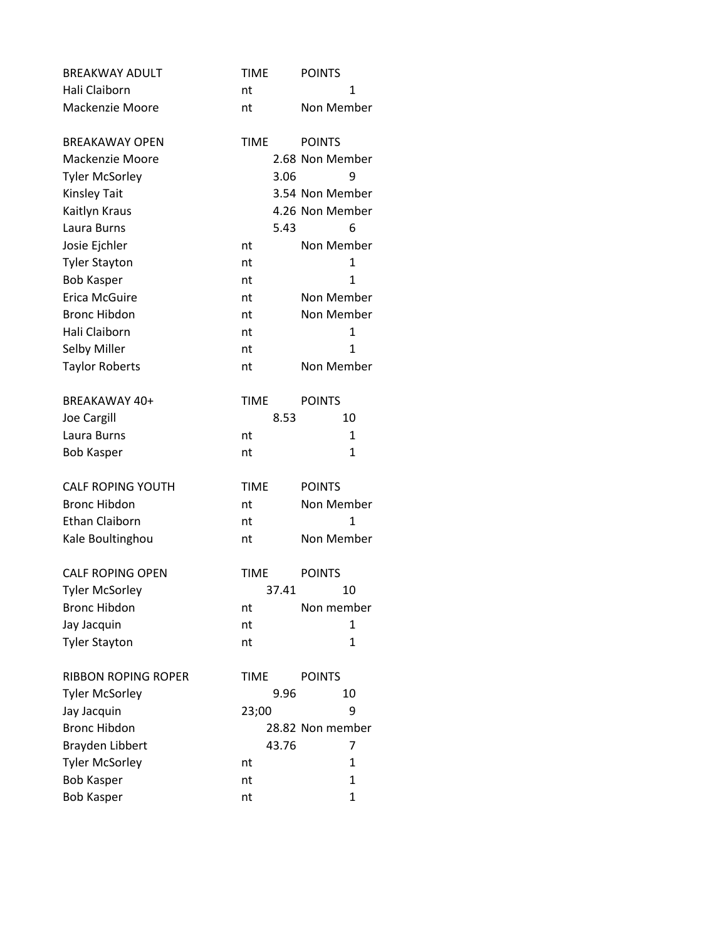| <b>BREAKWAY ADULT</b>                  | <b>TIME</b> | <b>POINTS</b>                |
|----------------------------------------|-------------|------------------------------|
| Hali Claiborn                          | nt          | 1                            |
| Mackenzie Moore                        | nt          | Non Member                   |
| <b>BREAKAWAY OPEN</b>                  | <b>TIME</b> | <b>POINTS</b>                |
| Mackenzie Moore                        |             | 2.68 Non Member              |
| <b>Tyler McSorley</b>                  | 3.06        | 9                            |
| <b>Kinsley Tait</b>                    |             | 3.54 Non Member              |
| Kaitlyn Kraus                          |             | 4.26 Non Member              |
| Laura Burns                            | 5.43        | 6                            |
| Josie Ejchler                          | nt          | Non Member                   |
| <b>Tyler Stayton</b>                   | nt          | 1                            |
| <b>Bob Kasper</b>                      | nt          | $\overline{1}$               |
| Erica McGuire                          | nt          | Non Member                   |
| <b>Bronc Hibdon</b>                    | nt          | Non Member                   |
| Hali Claiborn                          | nt          | $\mathbf{1}$                 |
| Selby Miller                           | nt          | 1                            |
| <b>Taylor Roberts</b>                  | nt          | Non Member                   |
| BREAKAWAY 40+                          | <b>TIME</b> | <b>POINTS</b>                |
| <b>Joe Cargill</b>                     | 8.53        | 10                           |
| Laura Burns                            | nt          | $\mathbf{1}$                 |
| <b>Bob Kasper</b>                      | nt          | 1                            |
|                                        |             |                              |
| <b>CALF ROPING YOUTH</b>               | <b>TIME</b> | <b>POINTS</b>                |
| <b>Bronc Hibdon</b>                    | nt          | Non Member                   |
| <b>Ethan Claiborn</b>                  | nt          | 1                            |
| Kale Boultinghou                       | nt          | Non Member                   |
| <b>CALF ROPING OPEN</b>                | <b>TIME</b> | <b>POINTS</b>                |
| <b>Tyler McSorley</b>                  | 37.41       | 10                           |
| <b>Bronc Hibdon</b>                    | nt          | Non member                   |
| Jay Jacquin                            | nt          | 1                            |
| <b>Tyler Stayton</b>                   | nt          | $\mathbf{1}$                 |
| <b>RIBBON ROPING ROPER</b>             | <b>TIME</b> | <b>POINTS</b>                |
| <b>Tyler McSorley</b>                  | 9.96        | 10                           |
| Jay Jacquin                            | 23;00       | 9                            |
| <b>Bronc Hibdon</b>                    |             | 28.82 Non member             |
| <b>Brayden Libbert</b>                 | 43.76       | 7                            |
| <b>Tyler McSorley</b>                  | nt          | 1                            |
| <b>Bob Kasper</b><br><b>Bob Kasper</b> | nt<br>nt    | $\mathbf{1}$<br>$\mathbf{1}$ |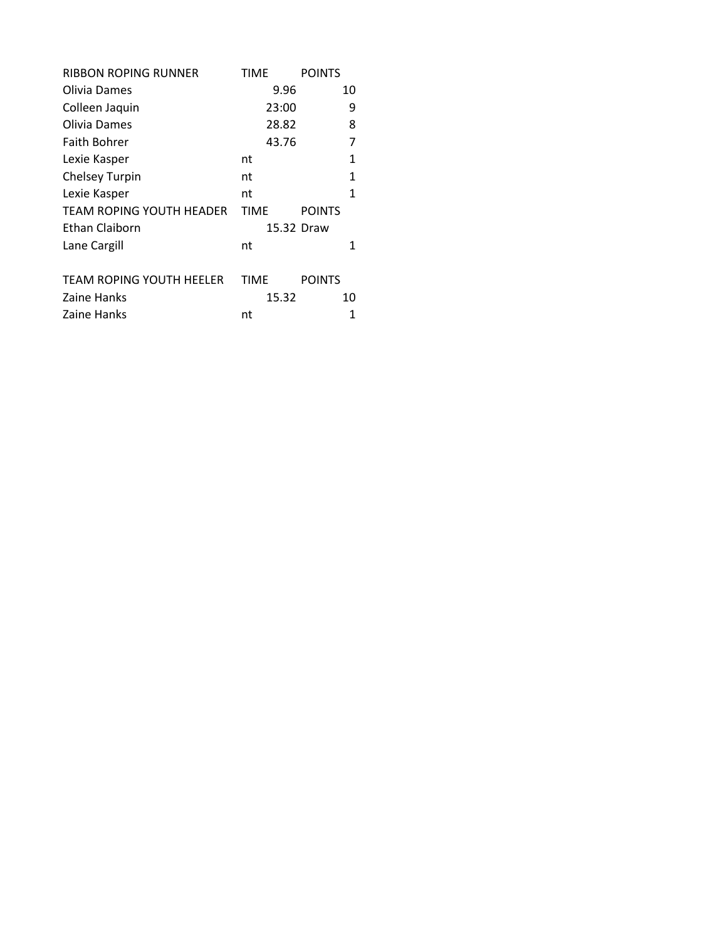| <b>RIBBON ROPING RUNNER</b>     | TIME        | <b>POINTS</b> |
|---------------------------------|-------------|---------------|
| Olivia Dames                    | 9.96        | 10            |
| Colleen Jaquin                  | 23:00       | 9             |
| Olivia Dames                    | 28.82       | 8             |
| <b>Faith Bohrer</b>             | 43.76       | 7             |
| Lexie Kasper                    | nt          | 1             |
| <b>Chelsey Turpin</b>           | nt          | 1             |
| Lexie Kasper                    | nt          | 1             |
| TEAM ROPING YOUTH HEADER        | <b>TIME</b> | <b>POINTS</b> |
| Ethan Claiborn                  |             | 15.32 Draw    |
| Lane Cargill                    | nt          | 1             |
| <b>TEAM ROPING YOUTH HEELER</b> | <b>TIME</b> | <b>POINTS</b> |
| Zaine Hanks                     | 15.32       | 10            |
| Zaine Hanks                     | nt          | 1             |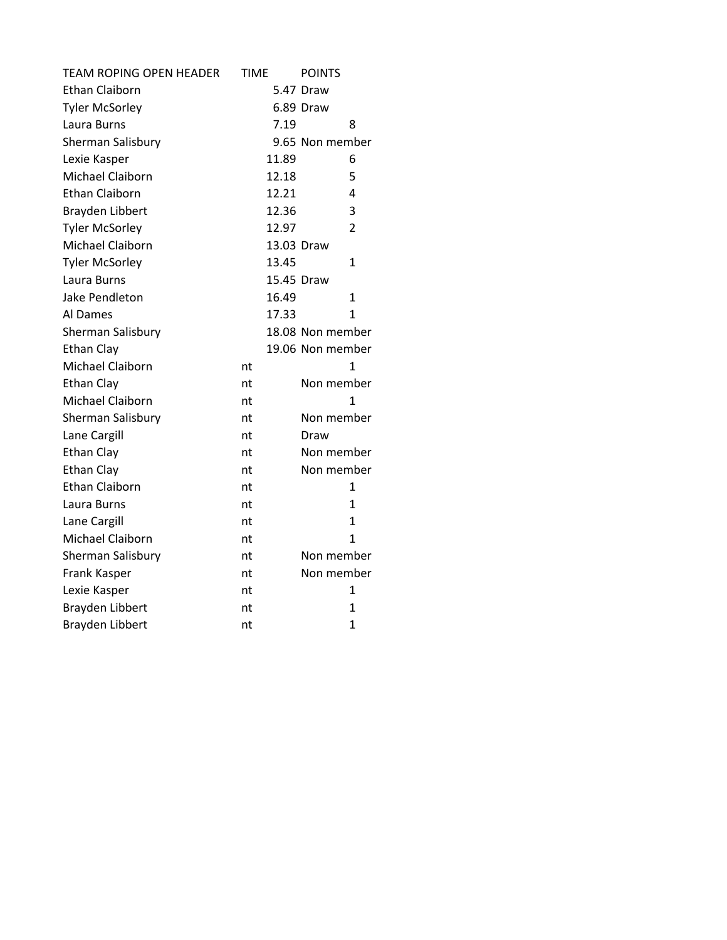| <b>TEAM ROPING OPEN HEADER</b> | <b>TIME</b> | <b>POINTS</b>    |
|--------------------------------|-------------|------------------|
| <b>Ethan Claiborn</b>          |             | 5.47 Draw        |
| <b>Tyler McSorley</b>          |             | 6.89 Draw        |
| Laura Burns                    | 7.19        | 8                |
| Sherman Salisbury              |             | 9.65 Non member  |
| Lexie Kasper                   | 11.89       | 6                |
| Michael Claiborn               | 12.18       | 5                |
| <b>Ethan Claiborn</b>          | 12.21       | 4                |
| <b>Brayden Libbert</b>         | 12.36       | 3                |
| <b>Tyler McSorley</b>          | 12.97       | 2                |
| Michael Claiborn               |             | 13.03 Draw       |
| <b>Tyler McSorley</b>          | 13.45       | 1                |
| Laura Burns                    |             | 15.45 Draw       |
| Jake Pendleton                 | 16.49       | $\mathbf{1}$     |
| Al Dames                       | 17.33       | 1                |
| Sherman Salisbury              |             | 18.08 Non member |
| <b>Ethan Clay</b>              |             | 19.06 Non member |
| Michael Claiborn               | nt          | 1                |
| Ethan Clay                     | nt          | Non member       |
| Michael Claiborn               | nt          | 1                |
| Sherman Salisbury              | nt          | Non member       |
| Lane Cargill                   | nt          | Draw             |
| <b>Ethan Clay</b>              | nt          | Non member       |
| Ethan Clay                     | nt          | Non member       |
| <b>Ethan Claiborn</b>          | nt          | 1                |
| Laura Burns                    | nt          | 1                |
| Lane Cargill                   | nt          | $\mathbf{1}$     |
| Michael Claiborn               | nt          | $\mathbf{1}$     |
| Sherman Salisbury              | nt          | Non member       |
| Frank Kasper                   | nt          | Non member       |
| Lexie Kasper                   | nt          | 1                |
| Brayden Libbert                | nt          | $\mathbf{1}$     |
| Brayden Libbert                | nt          | $\mathbf{1}$     |